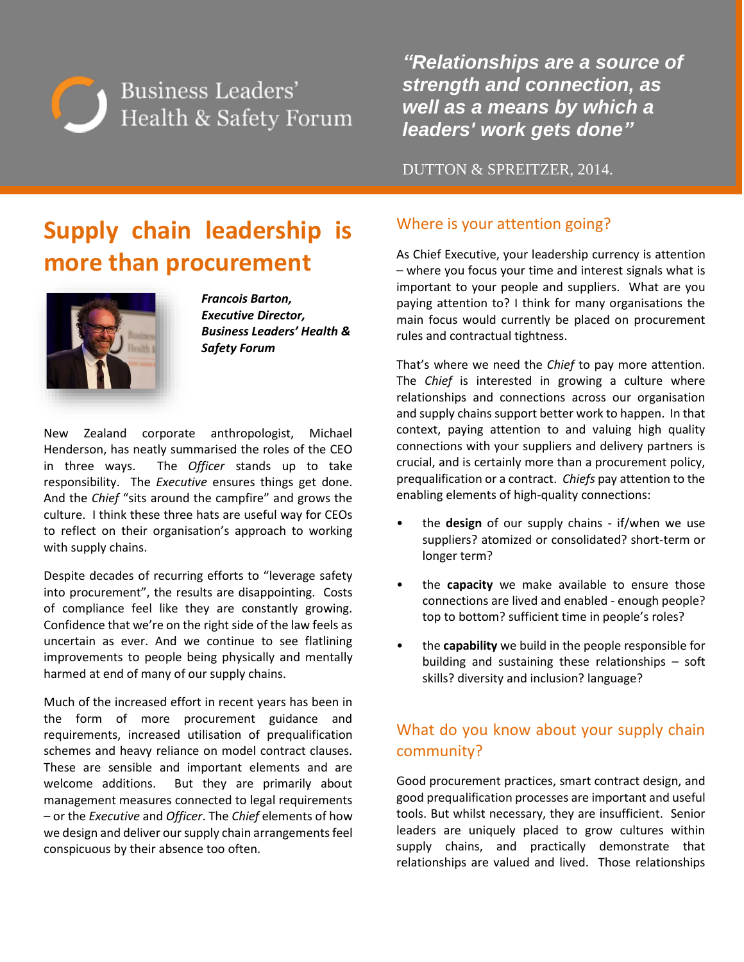

*"Relationships are a source of strength and connection, as well as a means by which a leaders' work gets done"*

DUTTON & SPREITZER, 2014.

# **Supply chain leadership is more than procurement**



*Francois Barton, Executive Director, Business Leaders' Health & Safety Forum*

New Zealand corporate anthropologist, Michael Henderson, has neatly summarised the roles of the CEO in three ways. The *Officer* stands up to take responsibility. The *Executive* ensures things get done. And the *Chief* "sits around the campfire" and grows the culture. I think these three hats are useful way for CEOs to reflect on their organisation's approach to working with supply chains.

Despite decades of recurring efforts to "leverage safety into procurement", the results are disappointing. Costs of compliance feel like they are constantly growing. Confidence that we're on the right side of the law feels as uncertain as ever. And we continue to see flatlining improvements to people being physically and mentally harmed at end of many of our supply chains.

Much of the increased effort in recent years has been in the form of more procurement guidance and requirements, increased utilisation of prequalification schemes and heavy reliance on model contract clauses. These are sensible and important elements and are welcome additions. But they are primarily about management measures connected to legal requirements – or the *Executive* and *Officer*. The *Chief* elements of how we design and deliver our supply chain arrangements feel conspicuous by their absence too often.

## Where is your attention going?

As Chief Executive, your leadership currency is attention – where you focus your time and interest signals what is important to your people and suppliers. What are you paying attention to? I think for many organisations the main focus would currently be placed on procurement rules and contractual tightness.

That's where we need the *Chief* to pay more attention. The *Chief* is interested in growing a culture where relationships and connections across our organisation and supply chains support better work to happen. In that context, paying attention to and valuing high quality connections with your suppliers and delivery partners is crucial, and is certainly more than a procurement policy, prequalification or a contract. *Chiefs* pay attention to the enabling elements of high-quality connections:

- the **design** of our supply chains if/when we use suppliers? atomized or consolidated? short-term or longer term?
- the **capacity** we make available to ensure those connections are lived and enabled - enough people? top to bottom? sufficient time in people's roles?
- the **capability** we build in the people responsible for building and sustaining these relationships – soft skills? diversity and inclusion? language?

## What do you know about your supply chain community?

Good procurement practices, smart contract design, and good prequalification processes are important and useful tools. But whilst necessary, they are insufficient. Senior leaders are uniquely placed to grow cultures within supply chains, and practically demonstrate that relationships are valued and lived. Those relationships